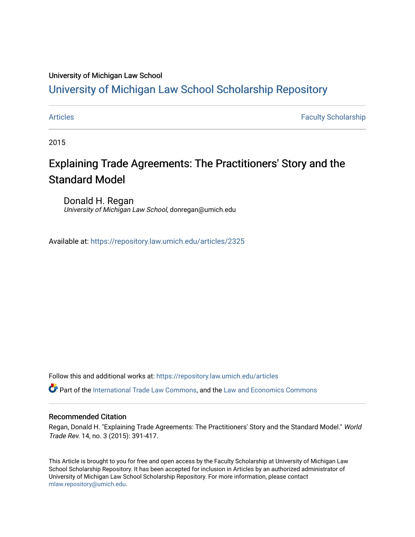### University of Michigan Law School

## [University of Michigan Law School Scholarship Repository](https://repository.law.umich.edu/)

[Articles](https://repository.law.umich.edu/articles) **Faculty Scholarship** Faculty Scholarship

2015

# Explaining Trade Agreements: The Practitioners' Story and the Standard Model

Donald H. Regan University of Michigan Law School, donregan@umich.edu

Available at: <https://repository.law.umich.edu/articles/2325>

Follow this and additional works at: [https://repository.law.umich.edu/articles](https://repository.law.umich.edu/articles?utm_source=repository.law.umich.edu%2Farticles%2F2325&utm_medium=PDF&utm_campaign=PDFCoverPages) 

Part of the [International Trade Law Commons](http://network.bepress.com/hgg/discipline/848?utm_source=repository.law.umich.edu%2Farticles%2F2325&utm_medium=PDF&utm_campaign=PDFCoverPages), and the [Law and Economics Commons](http://network.bepress.com/hgg/discipline/612?utm_source=repository.law.umich.edu%2Farticles%2F2325&utm_medium=PDF&utm_campaign=PDFCoverPages) 

#### Recommended Citation

Regan, Donald H. "Explaining Trade Agreements: The Practitioners' Story and the Standard Model." World Trade Rev. 14, no. 3 (2015): 391-417.

This Article is brought to you for free and open access by the Faculty Scholarship at University of Michigan Law School Scholarship Repository. It has been accepted for inclusion in Articles by an authorized administrator of University of Michigan Law School Scholarship Repository. For more information, please contact [mlaw.repository@umich.edu.](mailto:mlaw.repository@umich.edu)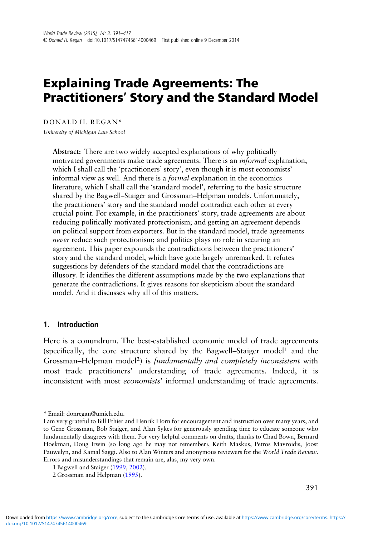# Explaining Trade Agreements: The Practitioners' Story and the Standard Model

DONALD H. REGAN\*

University of Michigan Law School

Abstract: There are two widely accepted explanations of why politically motivated governments make trade agreements. There is an *informal* explanation, which I shall call the 'practitioners' story', even though it is most economists' informal view as well. And there is a *formal* explanation in the economics literature, which I shall call the 'standard model', referring to the basic structure shared by the Bagwell–Staiger and Grossman–Helpman models. Unfortunately, the practitioners' story and the standard model contradict each other at every crucial point. For example, in the practitioners' story, trade agreements are about reducing politically motivated protectionism; and getting an agreement depends on political support from exporters. But in the standard model, trade agreements never reduce such protectionism; and politics plays no role in securing an agreement. This paper expounds the contradictions between the practitioners' story and the standard model, which have gone largely unremarked. It refutes suggestions by defenders of the standard model that the contradictions are illusory. It identifies the different assumptions made by the two explanations that generate the contradictions. It gives reasons for skepticism about the standard model. And it discusses why all of this matters.

#### 1. Introduction

Here is a conundrum. The best-established economic model of trade agreements (specifically, the core structure shared by the Bagwell–Staiger model<sup>1</sup> and the Grossman–Helpman model2) is fundamentally and completely inconsistent with most trade practitioners' understanding of trade agreements. Indeed, it is inconsistent with most economists' informal understanding of trade agreements.

<sup>\*</sup> Email: donregan@umich.edu.

I am very grateful to Bill Ethier and Henrik Horn for encouragement and instruction over many years; and to Gene Grossman, Bob Staiger, and Alan Sykes for generously spending time to educate someone who fundamentally disagrees with them. For very helpful comments on drafts, thanks to Chad Bown, Bernard Hoekman, Doug Irwin (so long ago he may not remember), Keith Maskus, Petros Mavroidis, Joost Pauwelyn, and Kamal Saggi. Also to Alan Winters and anonymous reviewers for the World Trade Review. Errors and misunderstandings that remain are, alas, my very own.

<sup>1</sup> Bagwell and Staiger ([1999](#page-26-0), [2002](#page-26-0)).

<sup>2</sup> Grossman and Helpman [\(1995\)](#page-26-0).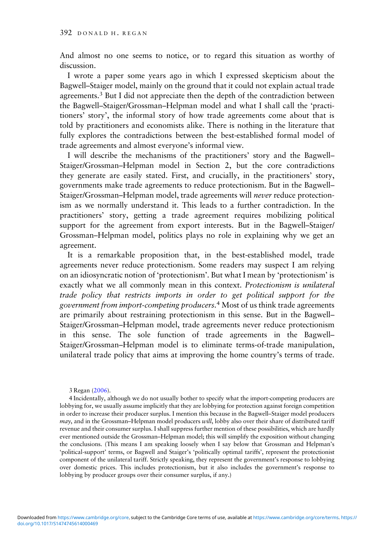And almost no one seems to notice, or to regard this situation as worthy of discussion.

I wrote a paper some years ago in which I expressed skepticism about the Bagwell–Staiger model, mainly on the ground that it could not explain actual trade agreements.3 But I did not appreciate then the depth of the contradiction between the Bagwell–Staiger/Grossman–Helpman model and what I shall call the 'practitioners' story', the informal story of how trade agreements come about that is told by practitioners and economists alike. There is nothing in the literature that fully explores the contradictions between the best-established formal model of trade agreements and almost everyone's informal view.

I will describe the mechanisms of the practitioners' story and the Bagwell– Staiger/Grossman–Helpman model in Section 2, but the core contradictions they generate are easily stated. First, and crucially, in the practitioners' story, governments make trade agreements to reduce protectionism. But in the Bagwell– Staiger/Grossman–Helpman model, trade agreements will *never* reduce protectionism as we normally understand it. This leads to a further contradiction. In the practitioners' story, getting a trade agreement requires mobilizing political support for the agreement from export interests. But in the Bagwell–Staiger/ Grossman–Helpman model, politics plays no role in explaining why we get an agreement.

It is a remarkable proposition that, in the best-established model, trade agreements never reduce protectionism. Some readers may suspect I am relying on an idiosyncratic notion of 'protectionism'. But what I mean by 'protectionism' is exactly what we all commonly mean in this context. Protectionism is unilateral trade policy that restricts imports in order to get political support for the government from import-competing producers.<sup>4</sup> Most of us think trade agreements are primarily about restraining protectionism in this sense. But in the Bagwell– Staiger/Grossman–Helpman model, trade agreements never reduce protectionism in this sense. The sole function of trade agreements in the Bagwell– Staiger/Grossman–Helpman model is to eliminate terms-of-trade manipulation, unilateral trade policy that aims at improving the home country's terms of trade.

<sup>3</sup> Regan [\(2006\)](#page-27-0).

<sup>4</sup> Incidentally, although we do not usually bother to specify what the import-competing producers are lobbying for, we usually assume implicitly that they are lobbying for protection against foreign competition in order to increase their producer surplus. I mention this because in the Bagwell–Staiger model producers  $may$ , and in the Grossman-Helpman model producers will, lobby also over their share of distributed tariff revenue and their consumer surplus. I shall suppress further mention of these possibilities, which are hardly ever mentioned outside the Grossman–Helpman model; this will simplify the exposition without changing the conclusions. (This means I am speaking loosely when I say below that Grossman and Helpman's 'political-support' terms, or Bagwell and Staiger's 'politically optimal tariffs', represent the protectionist component of the unilateral tariff. Strictly speaking, they represent the government's response to lobbying over domestic prices. This includes protectionism, but it also includes the government's response to lobbying by producer groups over their consumer surplus, if any.)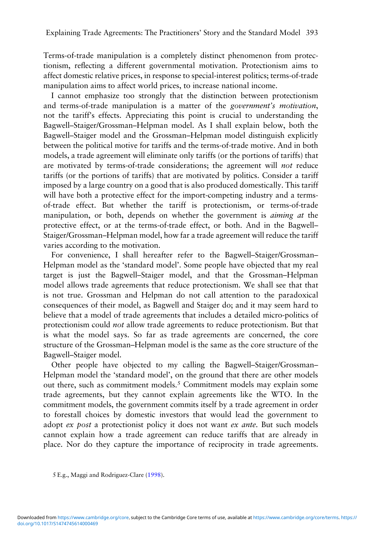Terms-of-trade manipulation is a completely distinct phenomenon from protectionism, reflecting a different governmental motivation. Protectionism aims to affect domestic relative prices, in response to special-interest politics; terms-of-trade manipulation aims to affect world prices, to increase national income.

I cannot emphasize too strongly that the distinction between protectionism and terms-of-trade manipulation is a matter of the government's motivation, not the tariff's effects. Appreciating this point is crucial to understanding the Bagwell–Staiger/Grossman–Helpman model. As I shall explain below, both the Bagwell–Staiger model and the Grossman–Helpman model distinguish explicitly between the political motive for tariffs and the terms-of-trade motive. And in both models, a trade agreement will eliminate only tariffs (or the portions of tariffs) that are motivated by terms-of-trade considerations; the agreement will not reduce tariffs (or the portions of tariffs) that are motivated by politics. Consider a tariff imposed by a large country on a good that is also produced domestically. This tariff will have both a protective effect for the import-competing industry and a termsof-trade effect. But whether the tariff is protectionism, or terms-of-trade manipulation, or both, depends on whether the government is *aiming at* the protective effect, or at the terms-of-trade effect, or both. And in the Bagwell– Staiger/Grossman–Helpman model, how far a trade agreement will reduce the tariff varies according to the motivation.

For convenience, I shall hereafter refer to the Bagwell–Staiger/Grossman– Helpman model as the 'standard model'. Some people have objected that my real target is just the Bagwell–Staiger model, and that the Grossman–Helpman model allows trade agreements that reduce protectionism. We shall see that that is not true. Grossman and Helpman do not call attention to the paradoxical consequences of their model, as Bagwell and Staiger do; and it may seem hard to believe that a model of trade agreements that includes a detailed micro-politics of protectionism could not allow trade agreements to reduce protectionism. But that is what the model says. So far as trade agreements are concerned, the core structure of the Grossman–Helpman model is the same as the core structure of the Bagwell–Staiger model.

Other people have objected to my calling the Bagwell–Staiger/Grossman– Helpman model the 'standard model', on the ground that there are other models out there, such as commitment models.<sup>5</sup> Commitment models may explain some trade agreements, but they cannot explain agreements like the WTO. In the commitment models, the government commits itself by a trade agreement in order to forestall choices by domestic investors that would lead the government to adopt ex post a protectionist policy it does not want ex ante. But such models cannot explain how a trade agreement can reduce tariffs that are already in place. Nor do they capture the importance of reciprocity in trade agreements.

<sup>5</sup> E.g., Maggi and Rodriguez-Clare [\(1998\)](#page-27-0).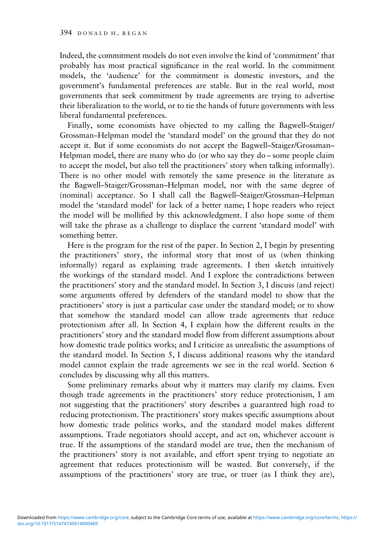Indeed, the commitment models do not even involve the kind of 'commitment' that probably has most practical significance in the real world. In the commitment models, the 'audience' for the commitment is domestic investors, and the government's fundamental preferences are stable. But in the real world, most governments that seek commitment by trade agreements are trying to advertise their liberalization to the world, or to tie the hands of future governments with less liberal fundamental preferences.

Finally, some economists have objected to my calling the Bagwell–Staiger/ Grossman–Helpman model the 'standard model' on the ground that they do not accept it. But if some economists do not accept the Bagwell–Staiger/Grossman– Helpman model, there are many who do (or who say they do – some people claim to accept the model, but also tell the practitioners' story when talking informally). There is no other model with remotely the same presence in the literature as the Bagwell–Staiger/Grossman–Helpman model, nor with the same degree of (nominal) acceptance. So I shall call the Bagwell–Staiger/Grossman–Helpman model the 'standard model' for lack of a better name; I hope readers who reject the model will be mollified by this acknowledgment. I also hope some of them will take the phrase as a challenge to displace the current 'standard model' with something better.

Here is the program for the rest of the paper. In Section 2, I begin by presenting the practitioners' story, the informal story that most of us (when thinking informally) regard as explaining trade agreements. I then sketch intuitively the workings of the standard model. And I explore the contradictions between the practitioners' story and the standard model. In Section 3, I discuss (and reject) some arguments offered by defenders of the standard model to show that the practitioners' story is just a particular case under the standard model; or to show that somehow the standard model can allow trade agreements that reduce protectionism after all. In Section 4, I explain how the different results in the practitioners' story and the standard model flow from different assumptions about how domestic trade politics works; and I criticize as unrealistic the assumptions of the standard model. In Section 5, I discuss additional reasons why the standard model cannot explain the trade agreements we see in the real world. Section 6 concludes by discussing why all this matters.

Some preliminary remarks about why it matters may clarify my claims. Even though trade agreements in the practitioners' story reduce protectionism, I am not suggesting that the practitioners' story describes a guaranteed high road to reducing protectionism. The practitioners' story makes specific assumptions about how domestic trade politics works, and the standard model makes different assumptions. Trade negotiators should accept, and act on, whichever account is true. If the assumptions of the standard model are true, then the mechanism of the practitioners' story is not available, and effort spent trying to negotiate an agreement that reduces protectionism will be wasted. But conversely, if the assumptions of the practitioners' story are true, or truer (as I think they are),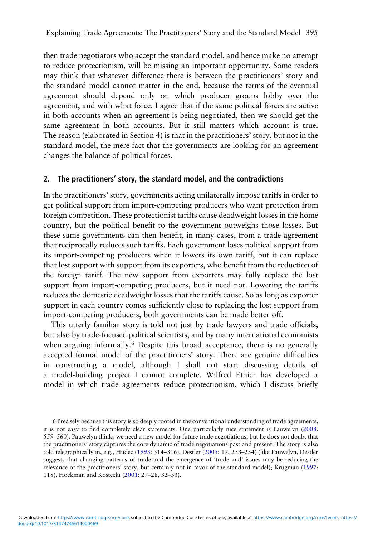then trade negotiators who accept the standard model, and hence make no attempt to reduce protectionism, will be missing an important opportunity. Some readers may think that whatever difference there is between the practitioners' story and the standard model cannot matter in the end, because the terms of the eventual agreement should depend only on which producer groups lobby over the agreement, and with what force. I agree that if the same political forces are active in both accounts when an agreement is being negotiated, then we should get the same agreement in both accounts. But it still matters which account is true. The reason (elaborated in Section 4) is that in the practitioners' story, but not in the standard model, the mere fact that the governments are looking for an agreement changes the balance of political forces.

#### 2. The practitioners' story, the standard model, and the contradictions

In the practitioners' story, governments acting unilaterally impose tariffs in order to get political support from import-competing producers who want protection from foreign competition. These protectionist tariffs cause deadweight losses in the home country, but the political benefit to the government outweighs those losses. But these same governments can then benefit, in many cases, from a trade agreement that reciprocally reduces such tariffs. Each government loses political support from its import-competing producers when it lowers its own tariff, but it can replace that lost support with support from its exporters, who benefit from the reduction of the foreign tariff. The new support from exporters may fully replace the lost support from import-competing producers, but it need not. Lowering the tariffs reduces the domestic deadweight losses that the tariffs cause. So as long as exporter support in each country comes sufficiently close to replacing the lost support from import-competing producers, both governments can be made better off.

This utterly familiar story is told not just by trade lawyers and trade officials, but also by trade-focused political scientists, and by many international economists when arguing informally.<sup>6</sup> Despite this broad acceptance, there is no generally accepted formal model of the practitioners' story. There are genuine difficulties in constructing a model, although I shall not start discussing details of a model-building project I cannot complete. Wilfred Ethier has developed a model in which trade agreements reduce protectionism, which I discuss briefly

<sup>6</sup> Precisely because this story is so deeply rooted in the conventional understanding of trade agreements, it is not easy to find completely clear statements. One particularly nice statement is Pauwelyn [\(2008](#page-27-0): 559–560). Pauwelyn thinks we need a new model for future trade negotiations, but he does not doubt that the practitioners' story captures the core dynamic of trade negotiations past and present. The story is also told telegraphically in, e.g., Hudec ([1993](#page-27-0): 314–316), Destler ([2005](#page-26-0): 17, 253–254) (like Pauwelyn, Destler suggests that changing patterns of trade and the emergence of 'trade and' issues may be reducing the relevance of the practitioners' story, but certainly not in favor of the standard model); Krugman [\(1997](#page-27-0): 118), Hoekman and Kostecki [\(2001:](#page-27-0) 27–28, 32–33).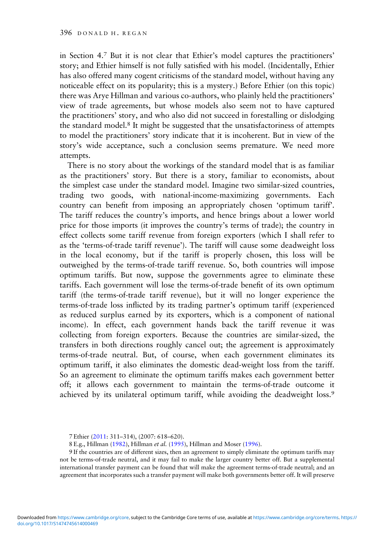in Section 4.<sup>7</sup> But it is not clear that Ethier's model captures the practitioners' story; and Ethier himself is not fully satisfied with his model. (Incidentally, Ethier has also offered many cogent criticisms of the standard model, without having any noticeable effect on its popularity; this is a mystery.) Before Ethier (on this topic) there was Arye Hillman and various co-authors, who plainly held the practitioners' view of trade agreements, but whose models also seem not to have captured the practitioners' story, and who also did not succeed in forestalling or dislodging the standard model.<sup>8</sup> It might be suggested that the unsatisfactoriness of attempts to model the practitioners' story indicate that it is incoherent. But in view of the story's wide acceptance, such a conclusion seems premature. We need more attempts.

There is no story about the workings of the standard model that is as familiar as the practitioners' story. But there is a story, familiar to economists, about the simplest case under the standard model. Imagine two similar-sized countries, trading two goods, with national-income-maximizing governments. Each country can benefit from imposing an appropriately chosen 'optimum tariff'. The tariff reduces the country's imports, and hence brings about a lower world price for those imports (it improves the country's terms of trade); the country in effect collects some tariff revenue from foreign exporters (which I shall refer to as the 'terms-of-trade tariff revenue'). The tariff will cause some deadweight loss in the local economy, but if the tariff is properly chosen, this loss will be outweighed by the terms-of-trade tariff revenue. So, both countries will impose optimum tariffs. But now, suppose the governments agree to eliminate these tariffs. Each government will lose the terms-of-trade benefit of its own optimum tariff (the terms-of-trade tariff revenue), but it will no longer experience the terms-of-trade loss inflicted by its trading partner's optimum tariff (experienced as reduced surplus earned by its exporters, which is a component of national income). In effect, each government hands back the tariff revenue it was collecting from foreign exporters. Because the countries are similar-sized, the transfers in both directions roughly cancel out; the agreement is approximately terms-of-trade neutral. But, of course, when each government eliminates its optimum tariff, it also eliminates the domestic dead-weight loss from the tariff. So an agreement to eliminate the optimum tariffs makes each government better off; it allows each government to maintain the terms-of-trade outcome it achieved by its unilateral optimum tariff, while avoiding the deadweight loss.<sup>9</sup>

<sup>7</sup> Ethier [\(2011:](#page-26-0) 311–314), (2007: 618–620).

<sup>8</sup> E.g., Hillman [\(1982\)](#page-27-0), Hillman et al. ([1995](#page-27-0)), Hillman and Moser [\(1996](#page-27-0)).

<sup>9</sup> If the countries are of different sizes, then an agreement to simply eliminate the optimum tariffs may not be terms-of-trade neutral, and it may fail to make the larger country better off. But a supplemental international transfer payment can be found that will make the agreement terms-of-trade neutral; and an agreement that incorporates such a transfer payment will make both governments better off. It will preserve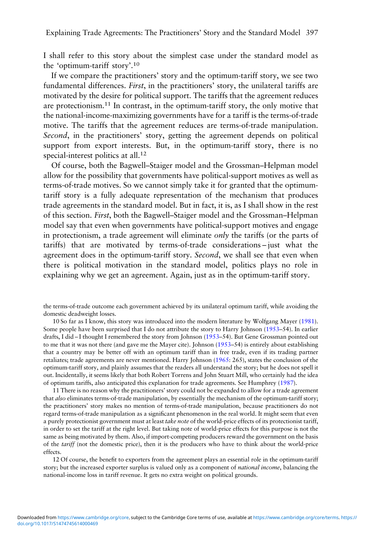I shall refer to this story about the simplest case under the standard model as the 'optimum-tariff story'. 10

If we compare the practitioners' story and the optimum-tariff story, we see two fundamental differences. First, in the practitioners' story, the unilateral tariffs are motivated by the desire for political support. The tariffs that the agreement reduces are protectionism.<sup>11</sup> In contrast, in the optimum-tariff story, the only motive that the national-income-maximizing governments have for a tariff is the terms-of-trade motive. The tariffs that the agreement reduces are terms-of-trade manipulation. Second, in the practitioners' story, getting the agreement depends on political support from export interests. But, in the optimum-tariff story, there is no special-interest politics at all.<sup>12</sup>

Of course, both the Bagwell–Staiger model and the Grossman–Helpman model allow for the possibility that governments have political-support motives as well as terms-of-trade motives. So we cannot simply take it for granted that the optimumtariff story is a fully adequate representation of the mechanism that produces trade agreements in the standard model. But in fact, it is, as I shall show in the rest of this section. First, both the Bagwell–Staiger model and the Grossman–Helpman model say that even when governments have political-support motives and engage in protectionism, a trade agreement will eliminate *only* the tariffs (or the parts of tariffs) that are motivated by terms-of-trade considerations – just what the agreement does in the optimum-tariff story. Second, we shall see that even when there is political motivation in the standard model, politics plays no role in explaining why we get an agreement. Again, just as in the optimum-tariff story.

the terms-of-trade outcome each government achieved by its unilateral optimum tariff, while avoiding the domestic deadweight losses.

10 So far as I know, this story was introduced into the modern literature by Wolfgang Mayer ([1981\)](#page-27-0). Some people have been surprised that I do not attribute the story to Harry Johnson ([1953](#page-27-0)–54). In earlier drafts, I did – I thought I remembered the story from Johnson [\(1953](#page-27-0)–54). But Gene Grossman pointed out to me that it was not there (and gave me the Mayer cite). Johnson ([1953](#page-27-0)–54) is entirely about establishing that a country may be better off with an optimum tariff than in free trade, even if its trading partner retaliates; trade agreements are never mentioned. Harry Johnson [\(1965:](#page-27-0) 265), states the conclusion of the optimum-tariff story, and plainly assumes that the readers all understand the story; but he does not spell it out. Incidentally, it seems likely that both Robert Torrens and John Stuart Mill, who certainly had the idea of optimum tariffs, also anticipated this explanation for trade agreements. See Humphrey [\(1987](#page-27-0)).

11 There is no reason why the practitioners' story could not be expanded to allow for a trade agreement that also eliminates terms-of-trade manipulation, by essentially the mechanism of the optimum-tariff story; the practitioners' story makes no mention of terms-of-trade manipulation, because practitioners do not regard terms-of-trade manipulation as a significant phenomenon in the real world. It might seem that even a purely protectionist government must at least take note of the world-price effects of its protectionist tariff, in order to set the tariff at the right level. But taking note of world-price effects for this purpose is not the same as being motivated by them. Also, if import-competing producers reward the government on the basis of the tariff (not the domestic price), then it is the producers who have to think about the world-price effects.

12 Of course, the benefit to exporters from the agreement plays an essential role in the optimum-tariff story; but the increased exporter surplus is valued only as a component of *national income*, balancing the national-income loss in tariff revenue. It gets no extra weight on political grounds.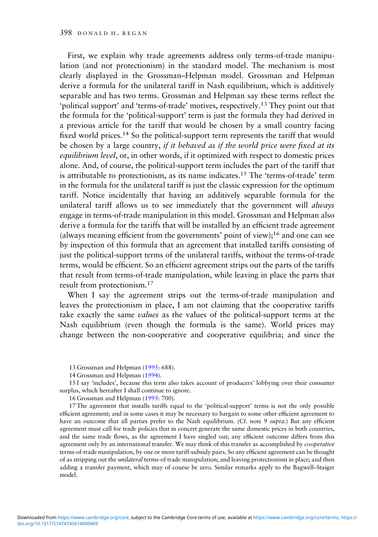First, we explain why trade agreements address only terms-of-trade manipulation (and not protectionism) in the standard model. The mechanism is most clearly displayed in the Grossman–Helpman model. Grossman and Helpman derive a formula for the unilateral tariff in Nash equilibrium, which is additively separable and has two terms. Grossman and Helpman say these terms reflect the 'political support' and 'terms-of-trade' motives, respectively.13 They point out that the formula for the 'political-support' term is just the formula they had derived in a previous article for the tariff that would be chosen by a small country facing fixed world prices.<sup>14</sup> So the political-support term represents the tariff that would be chosen by a large country, if it behaved as if the world price were fixed at its equilibrium level, or, in other words, if it optimized with respect to domestic prices alone. And, of course, the political-support term includes the part of the tariff that is attributable to protectionism, as its name indicates.<sup>15</sup> The 'terms-of-trade' term in the formula for the unilateral tariff is just the classic expression for the optimum tariff. Notice incidentally that having an additively separable formula for the unilateral tariff allows us to see immediately that the government will *always* engage in terms-of-trade manipulation in this model. Grossman and Helpman also derive a formula for the tariffs that will be installed by an efficient trade agreement (always meaning efficient from the governments' point of view);<sup>16</sup> and one can see by inspection of this formula that an agreement that installed tariffs consisting of just the political-support terms of the unilateral tariffs, without the terms-of-trade terms, would be efficient. So an efficient agreement strips out the parts of the tariffs that result from terms-of-trade manipulation, while leaving in place the parts that result from protectionism.<sup>17</sup>

When I say the agreement strips out the terms-of-trade manipulation and leaves the protectionism in place, I am not claiming that the cooperative tariffs take exactly the same values as the values of the political-support terms at the Nash equilibrium (even though the formula is the same). World prices may change between the non-cooperative and cooperative equilibria; and since the

13 Grossman and Helpman ([1995](#page-26-0): 688).

14 Grossman and Helpman ([1994](#page-26-0)).

15 I say 'includes', because this term also takes account of producers' lobbying over their consumer surplus, which hereafter I shall continue to ignore.

16 Grossman and Helpman ([1995](#page-26-0): 700).

17 The agreement that installs tariffs equal to the 'political-support' terms is not the only possible efficient agreement; and in some cases it may be necessary to bargain to some other efficient agreement to have an outcome that all parties prefer to the Nash equilibrium. (Cf. note 9 supra.) But any efficient agreement must call for trade policies that in concert generate the same domestic prices in both countries, and the same trade flows, as the agreement I have singled out; any efficient outcome differs from this agreement only by an international transfer. We may think of this transfer as accomplished by *cooperative* terms-of-trade manipulation, by one or more tariff-subsidy pairs. So any efficient agreement can be thought of as stripping out the unilateral terms-of trade manipulation; and leaving protectionism in place; and then adding a transfer payment, which may of course be zero. Similar remarks apply to the Bagwell–Staiger model.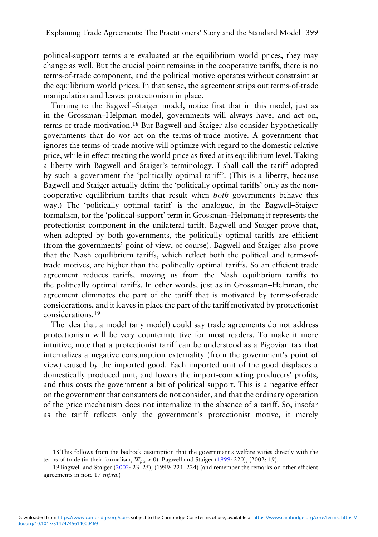political-support terms are evaluated at the equilibrium world prices, they may change as well. But the crucial point remains: in the cooperative tariffs, there is no terms-of-trade component, and the political motive operates without constraint at the equilibrium world prices. In that sense, the agreement strips out terms-of-trade manipulation and leaves protectionism in place.

Turning to the Bagwell–Staiger model, notice first that in this model, just as in the Grossman–Helpman model, governments will always have, and act on, terms-of-trade motivation.18 But Bagwell and Staiger also consider hypothetically governments that do not act on the terms-of-trade motive. A government that ignores the terms-of-trade motive will optimize with regard to the domestic relative price, while in effect treating the world price as fixed at its equilibrium level. Taking a liberty with Bagwell and Staiger's terminology, I shall call the tariff adopted by such a government the 'politically optimal tariff'. (This is a liberty, because Bagwell and Staiger actually define the 'politically optimal tariffs' only as the noncooperative equilibrium tariffs that result when both governments behave this way.) The 'politically optimal tariff' is the analogue, in the Bagwell–Staiger formalism, for the 'political-support' term in Grossman–Helpman; it represents the protectionist component in the unilateral tariff. Bagwell and Staiger prove that, when adopted by both governments, the politically optimal tariffs are efficient (from the governments' point of view, of course). Bagwell and Staiger also prove that the Nash equilibrium tariffs, which reflect both the political and terms-oftrade motives, are higher than the politically optimal tariffs. So an efficient trade agreement reduces tariffs, moving us from the Nash equilibrium tariffs to the politically optimal tariffs. In other words, just as in Grossman–Helpman, the agreement eliminates the part of the tariff that is motivated by terms-of-trade considerations, and it leaves in place the part of the tariff motivated by protectionist considerations.<sup>19</sup>

The idea that a model (any model) could say trade agreements do not address protectionism will be very counterintuitive for most readers. To make it more intuitive, note that a protectionist tariff can be understood as a Pigovian tax that internalizes a negative consumption externality (from the government's point of view) caused by the imported good. Each imported unit of the good displaces a domestically produced unit, and lowers the import-competing producers' profits, and thus costs the government a bit of political support. This is a negative effect on the government that consumers do not consider, and that the ordinary operation of the price mechanism does not internalize in the absence of a tariff. So, insofar as the tariff reflects only the government's protectionist motive, it merely

<sup>18</sup> This follows from the bedrock assumption that the government's welfare varies directly with the terms of trade (in their formalism,  $W_{pw}$  < 0). Bagwell and Staiger [\(1999:](#page-26-0) 220), (2002: 19).

<sup>19</sup> Bagwell and Staiger ([2002:](#page-26-0) 23–25), (1999: 221–224) (and remember the remarks on other efficient agreements in note 17 supra.)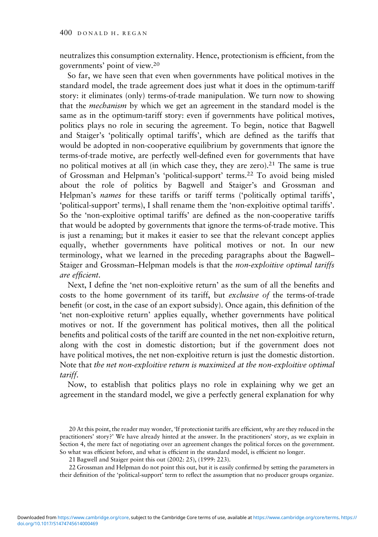neutralizes this consumption externality. Hence, protectionism is efficient, from the governments' point of view.<sup>20</sup>

So far, we have seen that even when governments have political motives in the standard model, the trade agreement does just what it does in the optimum-tariff story: it eliminates (only) terms-of-trade manipulation. We turn now to showing that the mechanism by which we get an agreement in the standard model is the same as in the optimum-tariff story: even if governments have political motives, politics plays no role in securing the agreement. To begin, notice that Bagwell and Staiger's 'politically optimal tariffs', which are defined as the tariffs that would be adopted in non-cooperative equilibrium by governments that ignore the terms-of-trade motive, are perfectly well-defined even for governments that have no political motives at all (in which case they, they are zero).<sup>21</sup> The same is true of Grossman and Helpman's 'political-support' terms.<sup>22</sup> To avoid being misled about the role of politics by Bagwell and Staiger's and Grossman and Helpman's names for these tariffs or tariff terms ('politically optimal tariffs', 'political-support' terms), I shall rename them the 'non-exploitive optimal tariffs'. So the 'non-exploitive optimal tariffs' are defined as the non-cooperative tariffs that would be adopted by governments that ignore the terms-of-trade motive. This is just a renaming; but it makes it easier to see that the relevant concept applies equally, whether governments have political motives or not. In our new terminology, what we learned in the preceding paragraphs about the Bagwell– Staiger and Grossman–Helpman models is that the non-exploitive optimal tariffs are efficient.

Next, I define the 'net non-exploitive return' as the sum of all the benefits and costs to the home government of its tariff, but exclusive of the terms-of-trade benefit (or cost, in the case of an export subsidy). Once again, this definition of the 'net non-exploitive return' applies equally, whether governments have political motives or not. If the government has political motives, then all the political benefits and political costs of the tariff are counted in the net non-exploitive return, along with the cost in domestic distortion; but if the government does not have political motives, the net non-exploitive return is just the domestic distortion. Note that the net non-exploitive return is maximized at the non-exploitive optimal tariff.

Now, to establish that politics plays no role in explaining why we get an agreement in the standard model, we give a perfectly general explanation for why

22 Grossman and Helpman do not point this out, but it is easily confirmed by setting the parameters in their definition of the 'political-support' term to reflect the assumption that no producer groups organize.

<sup>20</sup> At this point, the reader may wonder, 'If protectionist tariffs are efficient, why are they reduced in the practitioners' story?' We have already hinted at the answer. In the practitioners' story, as we explain in Section 4, the mere fact of negotiating over an agreement changes the political forces on the government. So what was efficient before, and what is efficient in the standard model, is efficient no longer.

<sup>21</sup> Bagwell and Staiger point this out (2002: 25), (1999: 223).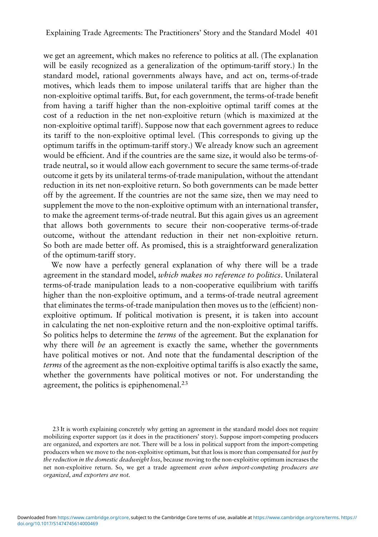we get an agreement, which makes no reference to politics at all. (The explanation will be easily recognized as a generalization of the optimum-tariff story.) In the standard model, rational governments always have, and act on, terms-of-trade motives, which leads them to impose unilateral tariffs that are higher than the non-exploitive optimal tariffs. But, for each government, the terms-of-trade benefit from having a tariff higher than the non-exploitive optimal tariff comes at the cost of a reduction in the net non-exploitive return (which is maximized at the non-exploitive optimal tariff). Suppose now that each government agrees to reduce its tariff to the non-exploitive optimal level. (This corresponds to giving up the optimum tariffs in the optimum-tariff story.) We already know such an agreement would be efficient. And if the countries are the same size, it would also be terms-oftrade neutral, so it would allow each government to secure the same terms-of-trade outcome it gets by its unilateral terms-of-trade manipulation, without the attendant reduction in its net non-exploitive return. So both governments can be made better off by the agreement. If the countries are not the same size, then we may need to supplement the move to the non-exploitive optimum with an international transfer, to make the agreement terms-of-trade neutral. But this again gives us an agreement that allows both governments to secure their non-cooperative terms-of-trade outcome, without the attendant reduction in their net non-exploitive return. So both are made better off. As promised, this is a straightforward generalization of the optimum-tariff story.

We now have a perfectly general explanation of why there will be a trade agreement in the standard model, which makes no reference to politics. Unilateral terms-of-trade manipulation leads to a non-cooperative equilibrium with tariffs higher than the non-exploitive optimum, and a terms-of-trade neutral agreement that eliminates the terms-of-trade manipulation then moves us to the (efficient) nonexploitive optimum. If political motivation is present, it is taken into account in calculating the net non-exploitive return and the non-exploitive optimal tariffs. So politics helps to determine the terms of the agreement. But the explanation for why there will be an agreement is exactly the same, whether the governments have political motives or not. And note that the fundamental description of the terms of the agreement as the non-exploitive optimal tariffs is also exactly the same, whether the governments have political motives or not. For understanding the agreement, the politics is epiphenomenal.<sup>23</sup>

23 It is worth explaining concretely why getting an agreement in the standard model does not require mobilizing exporter support (as it does in the practitioners' story). Suppose import-competing producers are organized, and exporters are not. There will be a loss in political support from the import-competing producers when we move to the non-exploitive optimum, but that loss is more than compensated for just by the reduction in the domestic deadweight loss, because moving to the non-exploitive optimum increases the net non-exploitive return. So, we get a trade agreement even when import-competing producers are organized, and exporters are not.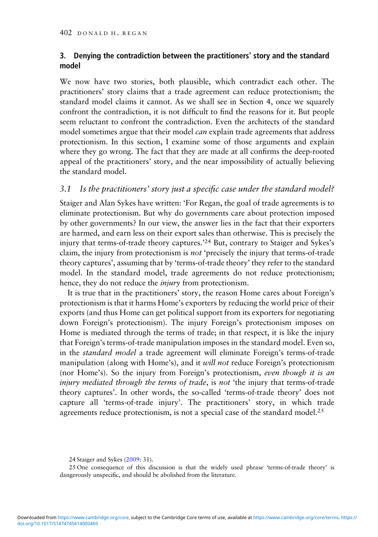#### 3. Denying the contradiction between the practitioners' story and the standard model

We now have two stories, both plausible, which contradict each other. The practitioners' story claims that a trade agreement can reduce protectionism; the standard model claims it cannot. As we shall see in Section 4, once we squarely confront the contradiction, it is not difficult to find the reasons for it. But people seem reluctant to confront the contradiction. Even the architects of the standard model sometimes argue that their model *can* explain trade agreements that address protectionism. In this section, I examine some of those arguments and explain where they go wrong. The fact that they are made at all confirms the deep-rooted appeal of the practitioners' story, and the near impossibility of actually believing the standard model.

#### 3.1 Is the practitioners' story just a specific case under the standard model?

Staiger and Alan Sykes have written: 'For Regan, the goal of trade agreements is to eliminate protectionism. But why do governments care about protection imposed by other governments? In our view, the answer lies in the fact that their exporters are harmed, and earn less on their export sales than otherwise. This is precisely the injury that terms-of-trade theory captures.' <sup>24</sup> But, contrary to Staiger and Sykes's claim, the injury from protectionism is not 'precisely the injury that terms-of-trade theory captures', assuming that by 'terms-of-trade theory' they refer to the standard model. In the standard model, trade agreements do not reduce protectionism; hence, they do not reduce the *injury* from protectionism.

It is true that in the practitioners' story, the reason Home cares about Foreign's protectionism is that it harms Home's exporters by reducing the world price of their exports (and thus Home can get political support from its exporters for negotiating down Foreign's protectionism). The injury Foreign's protectionism imposes on Home is mediated through the terms of trade; in that respect, it is like the injury that Foreign's terms-of-trade manipulation imposes in the standard model. Even so, in the standard model a trade agreement will eliminate Foreign's terms-of-trade manipulation (along with Home's), and it *will not* reduce Foreign's protectionism (nor Home's). So the injury from Foreign's protectionism, even though it is an injury mediated through the terms of trade, is not 'the injury that terms-of-trade theory captures'. In other words, the so-called 'terms-of-trade theory' does not capture all 'terms-of-trade injury'. The practitioners' story, in which trade agreements reduce protectionism, is not a special case of the standard model.<sup>25</sup>

25 One consequence of this discussion is that the widely used phrase 'terms-of-trade theory' is dangerously unspecific, and should be abolished from the literature.

<sup>24</sup> Staiger and Sykes [\(2009](#page-27-0): 31).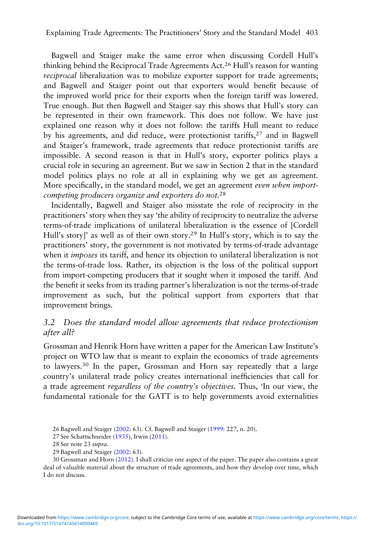Bagwell and Staiger make the same error when discussing Cordell Hull's thinking behind the Reciprocal Trade Agreements Act.<sup>26</sup> Hull's reason for wanting reciprocal liberalization was to mobilize exporter support for trade agreements; and Bagwell and Staiger point out that exporters would benefit because of the improved world price for their exports when the foreign tariff was lowered. True enough. But then Bagwell and Staiger say this shows that Hull's story can be represented in their own framework. This does not follow. We have just explained one reason why it does not follow: the tariffs Hull meant to reduce by his agreements, and did reduce, were protectionist tariffs, <sup>27</sup> and in Bagwell and Staiger's framework, trade agreements that reduce protectionist tariffs are impossible. A second reason is that in Hull's story, exporter politics plays a crucial role in securing an agreement. But we saw in Section 2 that in the standard model politics plays no role at all in explaining why we get an agreement. More specifically, in the standard model, we get an agreement *even when import*competing producers organize and exporters do not.<sup>28</sup>

Incidentally, Bagwell and Staiger also misstate the role of reciprocity in the practitioners' story when they say 'the ability of reciprocity to neutralize the adverse terms-of-trade implications of unilateral liberalization is the essence of [Cordell Hull's story]' as well as of their own story.<sup>29</sup> In Hull's story, which is to say the practitioners' story, the government is not motivated by terms-of-trade advantage when it *imposes* its tariff, and hence its objection to unilateral liberalization is not the terms-of-trade loss. Rather, its objection is the loss of the political support from import-competing producers that it sought when it imposed the tariff. And the benefit it seeks from its trading partner's liberalization is not the terms-of-trade improvement as such, but the political support from exporters that that improvement brings.

#### 3.2 Does the standard model allow agreements that reduce protectionism after all?

Grossman and Henrik Horn have written a paper for the American Law Institute's project on WTO law that is meant to explain the economics of trade agreements to lawyers.<sup>30</sup> In the paper, Grossman and Horn say repeatedly that a large country's unilateral trade policy creates international inefficiencies that call for a trade agreement regardless of the country's objectives. Thus, 'In our view, the fundamental rationale for the GATT is to help governments avoid externalities

30 Grossman and Horn [\(2012](#page-26-0)). I shall criticize one aspect of the paper. The paper also contains a great deal of valuable material about the structure of trade agreements, and how they develop over time, which I do not discuss.

<sup>26</sup> Bagwell and Staiger [\(2002:](#page-26-0) 63). Cf. Bagwell and Staiger ([1999](#page-26-0): 227, n. 20).

<sup>27</sup> See Schattschneider [\(1935\)](#page-27-0), Irwin ([2011](#page-27-0)).

<sup>28</sup> See note 23 supra.

<sup>29</sup> Bagwell and Staiger [\(2002:](#page-26-0) 63).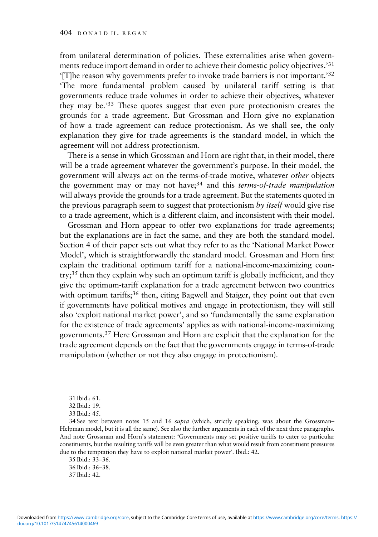from unilateral determination of policies. These externalities arise when governments reduce import demand in order to achieve their domestic policy objectives.' 31 '[T]he reason why governments prefer to invoke trade barriers is not important.' 32 'The more fundamental problem caused by unilateral tariff setting is that governments reduce trade volumes in order to achieve their objectives, whatever they may be.' <sup>33</sup> These quotes suggest that even pure protectionism creates the grounds for a trade agreement. But Grossman and Horn give no explanation of how a trade agreement can reduce protectionism. As we shall see, the only explanation they give for trade agreements is the standard model, in which the agreement will not address protectionism.

There is a sense in which Grossman and Horn are right that, in their model, there will be a trade agreement whatever the government's purpose. In their model, the government will always act on the terms-of-trade motive, whatever other objects the government may or may not have; $34$  and this terms-of-trade manipulation will always provide the grounds for a trade agreement. But the statements quoted in the previous paragraph seem to suggest that protectionism by *itself* would give rise to a trade agreement, which is a different claim, and inconsistent with their model.

Grossman and Horn appear to offer two explanations for trade agreements; but the explanations are in fact the same, and they are both the standard model. Section 4 of their paper sets out what they refer to as the 'National Market Power Model', which is straightforwardly the standard model. Grossman and Horn first explain the traditional optimum tariff for a national-income-maximizing country;<sup>35</sup> then they explain why such an optimum tariff is globally inefficient, and they give the optimum-tariff explanation for a trade agreement between two countries with optimum tariffs;<sup>36</sup> then, citing Bagwell and Staiger, they point out that even if governments have political motives and engage in protectionism, they will still also 'exploit national market power', and so 'fundamentally the same explanation for the existence of trade agreements' applies as with national-income-maximizing governments.<sup>37</sup> Here Grossman and Horn are explicit that the explanation for the trade agreement depends on the fact that the governments engage in terms-of-trade manipulation (whether or not they also engage in protectionism).

<sup>31</sup> Ibid.: 61.

<sup>32</sup> Ibid.: 19.

<sup>33</sup> Ibid.: 45.

<sup>34</sup> See text between notes 15 and 16 supra (which, strictly speaking, was about the Grossman-Helpman model, but it is all the same). See also the further arguments in each of the next three paragraphs. And note Grossman and Horn's statement: 'Governments may set positive tariffs to cater to particular constituents, but the resulting tariffs will be even greater than what would result from constituent pressures due to the temptation they have to exploit national market power'. Ibid.: 42.

<sup>35</sup> Ibid.: 33–36.

<sup>36</sup> Ibid.: 36–38.

<sup>37</sup> Ibid.: 42.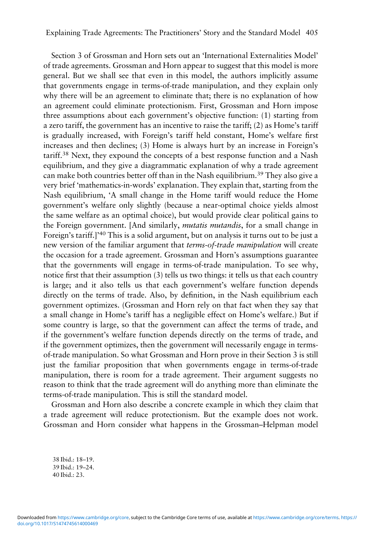Section 3 of Grossman and Horn sets out an 'International Externalities Model' of trade agreements. Grossman and Horn appear to suggest that this model is more general. But we shall see that even in this model, the authors implicitly assume that governments engage in terms-of-trade manipulation, and they explain only why there will be an agreement to eliminate that; there is no explanation of how an agreement could eliminate protectionism. First, Grossman and Horn impose three assumptions about each government's objective function: (1) starting from a zero tariff, the government has an incentive to raise the tariff; (2) as Home's tariff is gradually increased, with Foreign's tariff held constant, Home's welfare first increases and then declines; (3) Home is always hurt by an increase in Foreign's tariff.<sup>38</sup> Next, they expound the concepts of a best response function and a Nash equilibrium, and they give a diagrammatic explanation of why a trade agreement can make both countries better off than in the Nash equilibrium.<sup>39</sup> They also give a very brief 'mathematics-in-words' explanation. They explain that, starting from the Nash equilibrium, 'A small change in the Home tariff would reduce the Home government's welfare only slightly (because a near-optimal choice yields almost the same welfare as an optimal choice), but would provide clear political gains to the Foreign government. [And similarly, mutatis mutandis, for a small change in Foreign's tariff.]' <sup>40</sup> This is a solid argument, but on analysis it turns out to be just a new version of the familiar argument that *terms-of-trade manipulation* will create the occasion for a trade agreement. Grossman and Horn's assumptions guarantee that the governments will engage in terms-of-trade manipulation. To see why, notice first that their assumption (3) tells us two things: it tells us that each country is large; and it also tells us that each government's welfare function depends directly on the terms of trade. Also, by definition, in the Nash equilibrium each government optimizes. (Grossman and Horn rely on that fact when they say that a small change in Home's tariff has a negligible effect on Home's welfare.) But if some country is large, so that the government can affect the terms of trade, and if the government's welfare function depends directly on the terms of trade, and if the government optimizes, then the government will necessarily engage in termsof-trade manipulation. So what Grossman and Horn prove in their Section 3 is still just the familiar proposition that when governments engage in terms-of-trade manipulation, there is room for a trade agreement. Their argument suggests no reason to think that the trade agreement will do anything more than eliminate the terms-of-trade manipulation. This is still the standard model.

Grossman and Horn also describe a concrete example in which they claim that a trade agreement will reduce protectionism. But the example does not work. Grossman and Horn consider what happens in the Grossman–Helpman model

38 Ibid.: 18–19. 39 Ibid.: 19–24. 40 Ibid.: 23.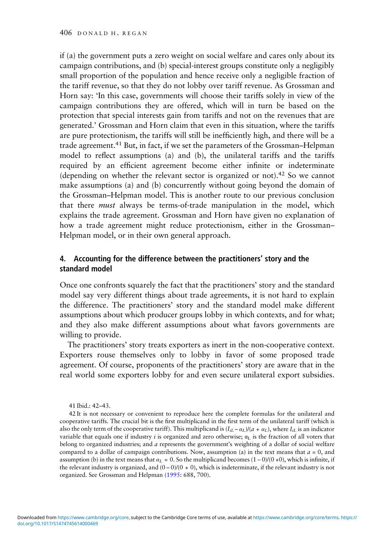if (a) the government puts a zero weight on social welfare and cares only about its campaign contributions, and (b) special-interest groups constitute only a negligibly small proportion of the population and hence receive only a negligible fraction of the tariff revenue, so that they do not lobby over tariff revenue. As Grossman and Horn say: 'In this case, governments will choose their tariffs solely in view of the campaign contributions they are offered, which will in turn be based on the protection that special interests gain from tariffs and not on the revenues that are generated.' Grossman and Horn claim that even in this situation, where the tariffs are pure protectionism, the tariffs will still be inefficiently high, and there will be a trade agreement.<sup>41</sup> But, in fact, if we set the parameters of the Grossman–Helpman model to reflect assumptions (a) and (b), the unilateral tariffs and the tariffs required by an efficient agreement become either infinite or indeterminate (depending on whether the relevant sector is organized or not).<sup>42</sup> So we cannot make assumptions (a) and (b) concurrently without going beyond the domain of the Grossman–Helpman model. This is another route to our previous conclusion that there must always be terms-of-trade manipulation in the model, which explains the trade agreement. Grossman and Horn have given no explanation of how a trade agreement might reduce protectionism, either in the Grossman– Helpman model, or in their own general approach.

#### 4. Accounting for the difference between the practitioners' story and the standard model

Once one confronts squarely the fact that the practitioners' story and the standard model say very different things about trade agreements, it is not hard to explain the difference. The practitioners' story and the standard model make different assumptions about which producer groups lobby in which contexts, and for what; and they also make different assumptions about what favors governments are willing to provide.

The practitioners' story treats exporters as inert in the non-cooperative context. Exporters rouse themselves only to lobby in favor of some proposed trade agreement. Of course, proponents of the practitioners' story are aware that in the real world some exporters lobby for and even secure unilateral export subsidies.

<sup>41</sup> Ibid.: 42–43.

<sup>42</sup> It is not necessary or convenient to reproduce here the complete formulas for the unilateral and cooperative tariffs. The crucial bit is the first multiplicand in the first term of the unilateral tariff (which is also the only term of the cooperative tariff). This multiplicand is  $(I_{ii} - \alpha_I)/(a + \alpha_I)$ , where  $I_{ii}$  is an indicator variable that equals one if industry *i* is organized and zero otherwise;  $\alpha_{\rm L}$  is the fraction of all voters that belong to organized industries; and a represents the government's weighting of a dollar of social welfare compared to a dollar of campaign contributions. Now, assumption (a) in the text means that  $a = 0$ , and assumption (b) in the text means that  $\alpha_L = 0$ . So the multiplicand becomes  $(1 - 0)/(0 + 0)$ , which is infinite, if the relevant industry is organized, and  $(0 - 0)/(0 + 0)$ , which is indeterminate, if the relevant industry is not organized. See Grossman and Helpman [\(1995:](#page-26-0) 688, 700).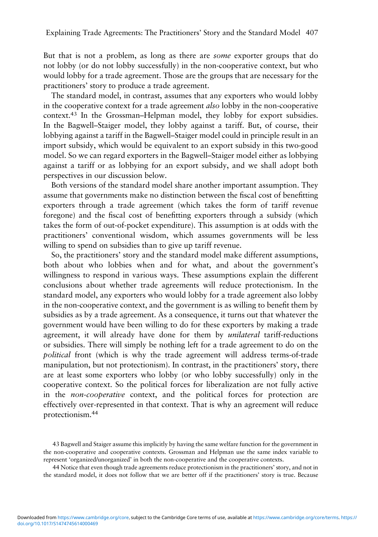But that is not a problem, as long as there are *some* exporter groups that do not lobby (or do not lobby successfully) in the non-cooperative context, but who would lobby for a trade agreement. Those are the groups that are necessary for the practitioners' story to produce a trade agreement.

The standard model, in contrast, assumes that any exporters who would lobby in the cooperative context for a trade agreement also lobby in the non-cooperative context.43 In the Grossman–Helpman model, they lobby for export subsidies. In the Bagwell–Staiger model, they lobby against a tariff. But, of course, their lobbying against a tariff in the Bagwell–Staiger model could in principle result in an import subsidy, which would be equivalent to an export subsidy in this two-good model. So we can regard exporters in the Bagwell–Staiger model either as lobbying against a tariff or as lobbying for an export subsidy, and we shall adopt both perspectives in our discussion below.

Both versions of the standard model share another important assumption. They assume that governments make no distinction between the fiscal cost of benefitting exporters through a trade agreement (which takes the form of tariff revenue foregone) and the fiscal cost of benefitting exporters through a subsidy (which takes the form of out-of-pocket expenditure). This assumption is at odds with the practitioners' conventional wisdom, which assumes governments will be less willing to spend on subsidies than to give up tariff revenue.

So, the practitioners' story and the standard model make different assumptions, both about who lobbies when and for what, and about the government's willingness to respond in various ways. These assumptions explain the different conclusions about whether trade agreements will reduce protectionism. In the standard model, any exporters who would lobby for a trade agreement also lobby in the non-cooperative context, and the government is as willing to benefit them by subsidies as by a trade agreement. As a consequence, it turns out that whatever the government would have been willing to do for these exporters by making a trade agreement, it will already have done for them by unilateral tariff-reductions or subsidies. There will simply be nothing left for a trade agreement to do on the political front (which is why the trade agreement will address terms-of-trade manipulation, but not protectionism). In contrast, in the practitioners' story, there are at least some exporters who lobby (or who lobby successfully) only in the cooperative context. So the political forces for liberalization are not fully active in the non-cooperative context, and the political forces for protection are effectively over-represented in that context. That is why an agreement will reduce protectionism.<sup>44</sup>

44 Notice that even though trade agreements reduce protectionism in the practitioners' story, and not in the standard model, it does not follow that we are better off if the practitioners' story is true. Because

<sup>43</sup> Bagwell and Staiger assume this implicitly by having the same welfare function for the government in the non-cooperative and cooperative contexts. Grossman and Helpman use the same index variable to represent 'organized/unorganized' in both the non-cooperative and the cooperative contexts.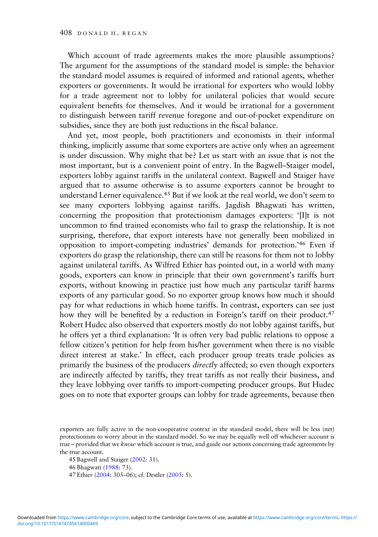Which account of trade agreements makes the more plausible assumptions? The argument for the assumptions of the standard model is simple: the behavior the standard model assumes is required of informed and rational agents, whether exporters or governments. It would be irrational for exporters who would lobby for a trade agreement not to lobby for unilateral policies that would secure equivalent benefits for themselves. And it would be irrational for a government to distinguish between tariff revenue foregone and out-of-pocket expenditure on subsidies, since they are both just reductions in the fiscal balance.

And yet, most people, both practitioners and economists in their informal thinking, implicitly assume that some exporters are active only when an agreement is under discussion. Why might that be? Let us start with an issue that is not the most important, but is a convenient point of entry. In the Bagwell–Staiger model, exporters lobby against tariffs in the unilateral context. Bagwell and Staiger have argued that to assume otherwise is to assume exporters cannot be brought to understand Lerner equivalence.<sup>45</sup> But if we look at the real world, we don't seem to see many exporters lobbying against tariffs. Jagdish Bhagwati has written, concerning the proposition that protectionism damages exporters: '[I]t is not uncommon to find trained economists who fail to grasp the relationship. It is not surprising, therefore, that export interests have not generally been mobilized in opposition to import-competing industries' demands for protection.' <sup>46</sup> Even if exporters do grasp the relationship, there can still be reasons for them not to lobby against unilateral tariffs. As Wilfred Ethier has pointed out, in a world with many goods, exporters can know in principle that their own government's tariffs hurt exports, without knowing in practice just how much any particular tariff harms exports of any particular good. So no exporter group knows how much it should pay for what reductions in which home tariffs. In contrast, exporters can see just how they will be benefited by a reduction in Foreign's tariff on their product.<sup>47</sup> Robert Hudec also observed that exporters mostly do not lobby against tariffs, but he offers yet a third explanation: 'It is often very bad public relations to oppose a fellow citizen's petition for help from his/her government when there is no visible direct interest at stake.' In effect, each producer group treats trade policies as primarily the business of the producers directly affected; so even though exporters are indirectly affected by tariffs, they treat tariffs as not really their business, and they leave lobbying over tariffs to import-competing producer groups. But Hudec goes on to note that exporter groups can lobby for trade agreements, because then

45 Bagwell and Staiger [\(2002:](#page-26-0) 31).

47 Ethier ([2004](#page-26-0): 305–06); cf. Destler ([2005](#page-26-0): 5).

exporters are fully active in the non-cooperative context in the standard model, there will be less (net) protectionism to worry about in the standard model. So we may be equally well off whichever account is true – provided that we *know* which account is true, and guide our actions concerning trade agreements by the true account.

<sup>46</sup> Bhagwati [\(1988:](#page-26-0) 73).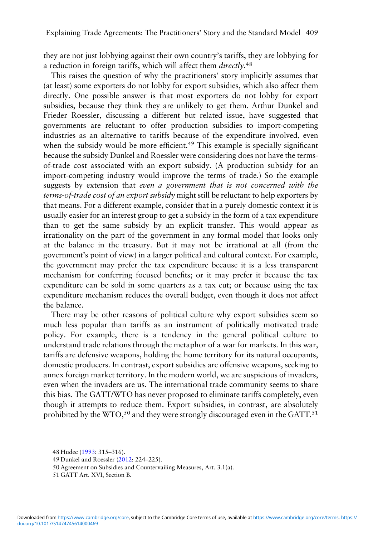they are not just lobbying against their own country's tariffs, they are lobbying for a reduction in foreign tariffs, which will affect them *directly*.<sup>48</sup>

This raises the question of why the practitioners' story implicitly assumes that (at least) some exporters do not lobby for export subsidies, which also affect them directly. One possible answer is that most exporters do not lobby for export subsidies, because they think they are unlikely to get them. Arthur Dunkel and Frieder Roessler, discussing a different but related issue, have suggested that governments are reluctant to offer production subsidies to import-competing industries as an alternative to tariffs because of the expenditure involved, even when the subsidy would be more efficient.<sup>49</sup> This example is specially significant because the subsidy Dunkel and Roessler were considering does not have the termsof-trade cost associated with an export subsidy. (A production subsidy for an import-competing industry would improve the terms of trade.) So the example suggests by extension that *even a government that is not concerned with the* terms-of-trade cost of an export subsidy might still be reluctant to help exporters by that means. For a different example, consider that in a purely domestic context it is usually easier for an interest group to get a subsidy in the form of a tax expenditure than to get the same subsidy by an explicit transfer. This would appear as irrationality on the part of the government in any formal model that looks only at the balance in the treasury. But it may not be irrational at all (from the government's point of view) in a larger political and cultural context. For example, the government may prefer the tax expenditure because it is a less transparent mechanism for conferring focused benefits; or it may prefer it because the tax expenditure can be sold in some quarters as a tax cut; or because using the tax expenditure mechanism reduces the overall budget, even though it does not affect the balance.

There may be other reasons of political culture why export subsidies seem so much less popular than tariffs as an instrument of politically motivated trade policy. For example, there is a tendency in the general political culture to understand trade relations through the metaphor of a war for markets. In this war, tariffs are defensive weapons, holding the home territory for its natural occupants, domestic producers. In contrast, export subsidies are offensive weapons, seeking to annex foreign market territory. In the modern world, we are suspicious of invaders, even when the invaders are us. The international trade community seems to share this bias. The GATT/WTO has never proposed to eliminate tariffs completely, even though it attempts to reduce them. Export subsidies, in contrast, are absolutely prohibited by the WTO,<sup>50</sup> and they were strongly discouraged even in the GATT.<sup>51</sup>

<sup>48</sup> Hudec [\(1993:](#page-27-0) 315–316).

<sup>49</sup> Dunkel and Roessler [\(2012](#page-26-0): 224–225).

<sup>50</sup> Agreement on Subsidies and Countervailing Measures, Art. 3.1(a).

<sup>51</sup> GATT Art. XVI, Section B.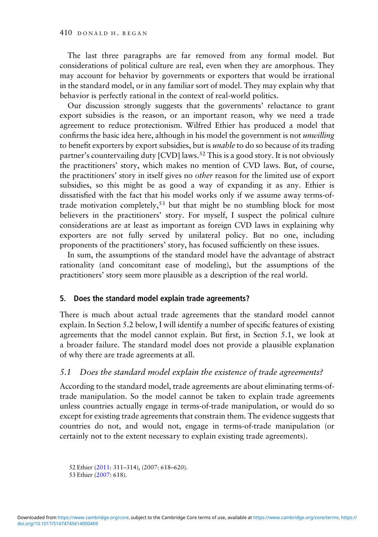The last three paragraphs are far removed from any formal model. But considerations of political culture are real, even when they are amorphous. They may account for behavior by governments or exporters that would be irrational in the standard model, or in any familiar sort of model. They may explain why that behavior is perfectly rational in the context of real-world politics.

Our discussion strongly suggests that the governments' reluctance to grant export subsidies is the reason, or an important reason, why we need a trade agreement to reduce protectionism. Wilfred Ethier has produced a model that confirms the basic idea here, although in his model the government is not unwilling to benefit exporters by export subsidies, but is unable to do so because of its trading partner's countervailing duty [CVD] laws.<sup>52</sup> This is a good story. It is not obviously the practitioners' story, which makes no mention of CVD laws. But, of course, the practitioners' story in itself gives no other reason for the limited use of export subsidies, so this might be as good a way of expanding it as any. Ethier is dissatisfied with the fact that his model works only if we assume away terms-oftrade motivation completely,53 but that might be no stumbling block for most believers in the practitioners' story. For myself, I suspect the political culture considerations are at least as important as foreign CVD laws in explaining why exporters are not fully served by unilateral policy. But no one, including proponents of the practitioners' story, has focused sufficiently on these issues.

In sum, the assumptions of the standard model have the advantage of abstract rationality (and concomitant ease of modeling), but the assumptions of the practitioners' story seem more plausible as a description of the real world.

#### 5. Does the standard model explain trade agreements?

There is much about actual trade agreements that the standard model cannot explain. In Section 5.2 below, I will identify a number of specific features of existing agreements that the model cannot explain. But first, in Section 5.1, we look at a broader failure. The standard model does not provide a plausible explanation of why there are trade agreements at all.

#### 5.1 Does the standard model explain the existence of trade agreements?

According to the standard model, trade agreements are about eliminating terms-oftrade manipulation. So the model cannot be taken to explain trade agreements unless countries actually engage in terms-of-trade manipulation, or would do so except for existing trade agreements that constrain them. The evidence suggests that countries do not, and would not, engage in terms-of-trade manipulation (or certainly not to the extent necessary to explain existing trade agreements).

53 Ethier ([2007](#page-26-0): 618).

<sup>52</sup> Ethier ([2011](#page-26-0): 311–314), (2007: 618–620).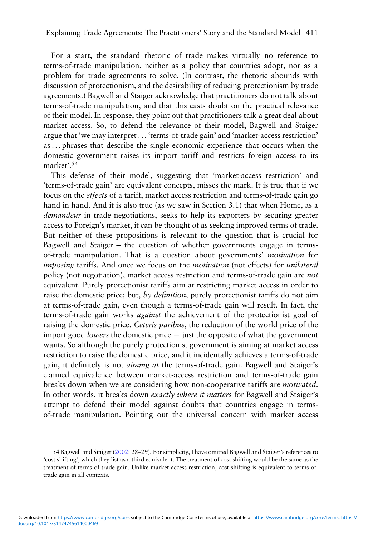For a start, the standard rhetoric of trade makes virtually no reference to terms-of-trade manipulation, neither as a policy that countries adopt, nor as a problem for trade agreements to solve. (In contrast, the rhetoric abounds with discussion of protectionism, and the desirability of reducing protectionism by trade agreements.) Bagwell and Staiger acknowledge that practitioners do not talk about terms-of-trade manipulation, and that this casts doubt on the practical relevance of their model. In response, they point out that practitioners talk a great deal about market access. So, to defend the relevance of their model, Bagwell and Staiger argue that 'we may interpret ... 'terms-of-trade gain' and 'market-access restriction' as ... phrases that describe the single economic experience that occurs when the domestic government raises its import tariff and restricts foreign access to its market'. 54

This defense of their model, suggesting that 'market-access restriction' and 'terms-of-trade gain' are equivalent concepts, misses the mark. It is true that if we focus on the effects of a tariff, market access restriction and terms-of-trade gain go hand in hand. And it is also true (as we saw in Section 3.1) that when Home, as a demandeur in trade negotiations, seeks to help its exporters by securing greater access to Foreign's market, it can be thought of as seeking improved terms of trade. But neither of these propositions is relevant to the question that is crucial for Bagwell and Staiger  $-$  the question of whether governments engage in termsof-trade manipulation. That is a question about governments' motivation for imposing tariffs. And once we focus on the motivation (not effects) for unilateral policy (not negotiation), market access restriction and terms-of-trade gain are not equivalent. Purely protectionist tariffs aim at restricting market access in order to raise the domestic price; but, by definition, purely protectionist tariffs do not aim at terms-of-trade gain, even though a terms-of-trade gain will result. In fact, the terms-of-trade gain works against the achievement of the protectionist goal of raising the domestic price. Ceteris paribus, the reduction of the world price of the import good lowers the domestic price − just the opposite of what the government wants. So although the purely protectionist government is aiming at market access restriction to raise the domestic price, and it incidentally achieves a terms-of-trade gain, it definitely is not aiming at the terms-of-trade gain. Bagwell and Staiger's claimed equivalence between market-access restriction and terms-of-trade gain breaks down when we are considering how non-cooperative tariffs are motivated. In other words, it breaks down *exactly where it matters* for Bagwell and Staiger's attempt to defend their model against doubts that countries engage in termsof-trade manipulation. Pointing out the universal concern with market access

<sup>54</sup> Bagwell and Staiger ([2002](#page-26-0): 28–29). For simplicity, I have omitted Bagwell and Staiger's references to 'cost shifting', which they list as a third equivalent. The treatment of cost shifting would be the same as the treatment of terms-of-trade gain. Unlike market-access restriction, cost shifting is equivalent to terms-oftrade gain in all contexts.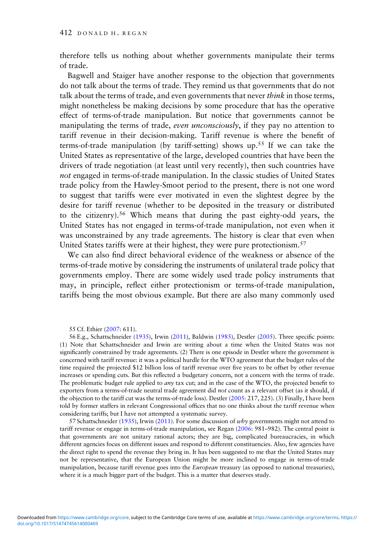therefore tells us nothing about whether governments manipulate their terms of trade.

Bagwell and Staiger have another response to the objection that governments do not talk about the terms of trade. They remind us that governments that do not talk about the terms of trade, and even governments that never *think* in those terms, might nonetheless be making decisions by some procedure that has the operative effect of terms-of-trade manipulation. But notice that governments cannot be manipulating the terms of trade, *even unconsciously*, if they pay no attention to tariff revenue in their decision-making. Tariff revenue is where the benefit of terms-of-trade manipulation (by tariff-setting) shows up.<sup>55</sup> If we can take the United States as representative of the large, developed countries that have been the drivers of trade negotiation (at least until very recently), then such countries have not engaged in terms-of-trade manipulation. In the classic studies of United States trade policy from the Hawley-Smoot period to the present, there is not one word to suggest that tariffs were ever motivated in even the slightest degree by the desire for tariff revenue (whether to be deposited in the treasury or distributed to the citizenry).<sup>56</sup> Which means that during the past eighty-odd years, the United States has not engaged in terms-of-trade manipulation, not even when it was unconstrained by any trade agreements. The history is clear that even when United States tariffs were at their highest, they were pure protectionism.<sup>57</sup>

We can also find direct behavioral evidence of the weakness or absence of the terms-of-trade motive by considering the instruments of unilateral trade policy that governments employ. There are some widely used trade policy instruments that may, in principle, reflect either protectionism or terms-of-trade manipulation, tariffs being the most obvious example. But there are also many commonly used

57 Schattschneider ([1935\)](#page-27-0), Irwin [\(2011\)](#page-27-0). For some discussion of why governments might not attend to tariff revenue or engage in terms-of-trade manipulation, see Regan [\(2006:](#page-27-0) 981–982). The central point is that governments are not unitary rational actors; they are big, complicated bureaucracies, in which different agencies focus on different issues and respond to different constituencies. Also, few agencies have the direct right to spend the revenue they bring in. It has been suggested to me that the United States may not be representative, that the European Union might be more inclined to engage in terms-of-trade manipulation, because tariff revenue goes into the *European* treasury (as opposed to national treasuries), where it is a much bigger part of the budget. This is a matter that deserves study.

<sup>55</sup> Cf. Ethier [\(2007:](#page-26-0) 611).

<sup>56</sup> E.g., Schattschneider ([1935](#page-27-0)), Irwin ([2011](#page-27-0)), Baldwin [\(1985\)](#page-26-0), Destler ([2005](#page-26-0)). Three specific points: (1) Note that Schattschneider and Irwin are writing about a time when the United States was not significantly constrained by trade agreements. (2) There is one episode in Destler where the government is concerned with tariff revenue: it was a political hurdle for the WTO agreement that the budget rules of the time required the projected \$12 billion loss of tariff revenue over five years to be offset by other revenue increases or spending cuts. But this reflected a budgetary concern, not a concern with the terms of trade. The problematic budget rule applied to  $any$  tax cut; and in the case of the WTO, the projected benefit to exporters from a terms-of-trade neutral trade agreement did not count as a relevant offset (as it should, if the objection to the tariff cut was the terms-of-trade loss). Destler [\(2005:](#page-26-0) 217, 225). (3) Finally, I have been told by former staffers in relevant Congressional offices that no one thinks about the tariff revenue when considering tariffs; but I have not attempted a systematic survey.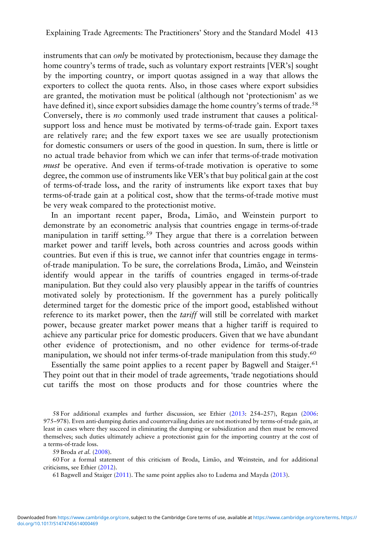instruments that can *only* be motivated by protectionism, because they damage the home country's terms of trade, such as voluntary export restraints [VER's] sought by the importing country, or import quotas assigned in a way that allows the exporters to collect the quota rents. Also, in those cases where export subsidies are granted, the motivation must be political (although not 'protectionism' as we have defined it), since export subsidies damage the home country's terms of trade.<sup>58</sup> Conversely, there is no commonly used trade instrument that causes a politicalsupport loss and hence must be motivated by terms-of-trade gain. Export taxes are relatively rare; and the few export taxes we see are usually protectionism for domestic consumers or users of the good in question. In sum, there is little or no actual trade behavior from which we can infer that terms-of-trade motivation must be operative. And even if terms-of-trade motivation is operative to some degree, the common use of instruments like VER's that buy political gain at the cost of terms-of-trade loss, and the rarity of instruments like export taxes that buy terms-of-trade gain at a political cost, show that the terms-of-trade motive must be very weak compared to the protectionist motive.

In an important recent paper, Broda, Limão, and Weinstein purport to demonstrate by an econometric analysis that countries engage in terms-of-trade manipulation in tariff setting.<sup>59</sup> They argue that there is a correlation between market power and tariff levels, both across countries and across goods within countries. But even if this is true, we cannot infer that countries engage in termsof-trade manipulation. To be sure, the correlations Broda, Limão, and Weinstein identify would appear in the tariffs of countries engaged in terms-of-trade manipulation. But they could also very plausibly appear in the tariffs of countries motivated solely by protectionism. If the government has a purely politically determined target for the domestic price of the import good, established without reference to its market power, then the tariff will still be correlated with market power, because greater market power means that a higher tariff is required to achieve any particular price for domestic producers. Given that we have abundant other evidence of protectionism, and no other evidence for terms-of-trade manipulation, we should not infer terms-of-trade manipulation from this study.<sup>60</sup>

Essentially the same point applies to a recent paper by Bagwell and Staiger.<sup>61</sup> They point out that in their model of trade agreements, 'trade negotiations should cut tariffs the most on those products and for those countries where the

58 For additional examples and further discussion, see Ethier ([2013:](#page-26-0) 254–257), Regan [\(2006](#page-27-0): 975–978). Even anti-dumping duties and countervailing duties are not motivated by terms-of-trade gain, at least in cases where they succeed in eliminating the dumping or subsidization and then must be removed themselves; such duties ultimately achieve a protectionist gain for the importing country at the cost of a terms-of-trade loss.

59 Broda et al. [\(2008\)](#page-26-0).

60 For a formal statement of this criticism of Broda, Limão, and Weinstein, and for additional criticisms, see Ethier ([2012](#page-26-0)).

61 Bagwell and Staiger [\(2011\)](#page-26-0). The same point applies also to Ludema and Mayda ([2013](#page-27-0)).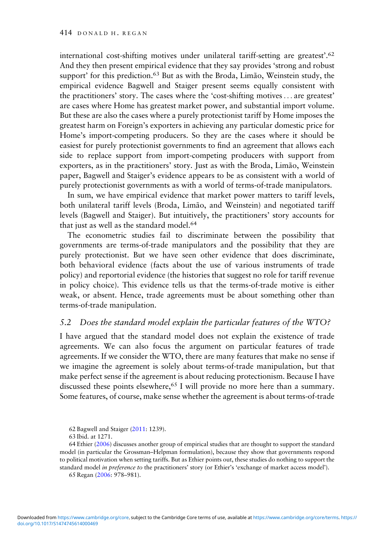international cost-shifting motives under unilateral tariff-setting are greatest'. 62 And they then present empirical evidence that they say provides 'strong and robust support' for this prediction.63 But as with the Broda, Limão, Weinstein study, the empirical evidence Bagwell and Staiger present seems equally consistent with the practitioners' story. The cases where the 'cost-shifting motives ... are greatest' are cases where Home has greatest market power, and substantial import volume. But these are also the cases where a purely protectionist tariff by Home imposes the greatest harm on Foreign's exporters in achieving any particular domestic price for Home's import-competing producers. So they are the cases where it should be easiest for purely protectionist governments to find an agreement that allows each side to replace support from import-competing producers with support from exporters, as in the practitioners' story. Just as with the Broda, Limão, Weinstein paper, Bagwell and Staiger's evidence appears to be as consistent with a world of purely protectionist governments as with a world of terms-of-trade manipulators.

In sum, we have empirical evidence that market power matters to tariff levels, both unilateral tariff levels (Broda, Limão, and Weinstein) and negotiated tariff levels (Bagwell and Staiger). But intuitively, the practitioners' story accounts for that just as well as the standard model.<sup>64</sup>

The econometric studies fail to discriminate between the possibility that governments are terms-of-trade manipulators and the possibility that they are purely protectionist. But we have seen other evidence that does discriminate, both behavioral evidence (facts about the use of various instruments of trade policy) and reportorial evidence (the histories that suggest no role for tariff revenue in policy choice). This evidence tells us that the terms-of-trade motive is either weak, or absent. Hence, trade agreements must be about something other than terms-of-trade manipulation.

#### 5.2 Does the standard model explain the particular features of the WTO?

I have argued that the standard model does not explain the existence of trade agreements. We can also focus the argument on particular features of trade agreements. If we consider the WTO, there are many features that make no sense if we imagine the agreement is solely about terms-of-trade manipulation, but that make perfect sense if the agreement is about reducing protectionism. Because I have discussed these points elsewhere,<sup>65</sup> I will provide no more here than a summary. Some features, of course, make sense whether the agreement is about terms-of-trade

<sup>62</sup> Bagwell and Staiger [\(2011:](#page-26-0) 1239).

<sup>63</sup> Ibid. at 1271.

<sup>64</sup> Ethier ([2006](#page-26-0)) discusses another group of empirical studies that are thought to support the standard model (in particular the Grossman–Helpman formulation), because they show that governments respond to political motivation when setting tariffs. But as Ethier points out, these studies do nothing to support the standard model in preference to the practitioners' story (or Ethier's 'exchange of market access model').

<sup>65</sup> Regan ([2006](#page-27-0): 978–981).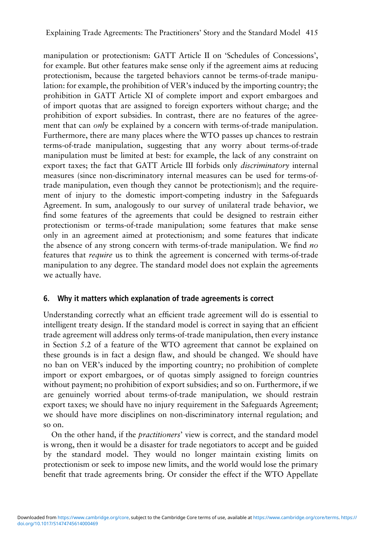manipulation or protectionism: GATT Article II on 'Schedules of Concessions', for example. But other features make sense only if the agreement aims at reducing protectionism, because the targeted behaviors cannot be terms-of-trade manipulation: for example, the prohibition of VER's induced by the importing country; the prohibition in GATT Article XI of complete import and export embargoes and of import quotas that are assigned to foreign exporters without charge; and the prohibition of export subsidies. In contrast, there are no features of the agreement that can only be explained by a concern with terms-of-trade manipulation. Furthermore, there are many places where the WTO passes up chances to restrain terms-of-trade manipulation, suggesting that any worry about terms-of-trade manipulation must be limited at best: for example, the lack of any constraint on export taxes; the fact that GATT Article III forbids only discriminatory internal measures (since non-discriminatory internal measures can be used for terms-oftrade manipulation, even though they cannot be protectionism); and the requirement of injury to the domestic import-competing industry in the Safeguards Agreement. In sum, analogously to our survey of unilateral trade behavior, we find some features of the agreements that could be designed to restrain either protectionism or terms-of-trade manipulation; some features that make sense only in an agreement aimed at protectionism; and some features that indicate the absence of any strong concern with terms-of-trade manipulation. We find no features that require us to think the agreement is concerned with terms-of-trade manipulation to any degree. The standard model does not explain the agreements we actually have.

#### 6. Why it matters which explanation of trade agreements is correct

Understanding correctly what an efficient trade agreement will do is essential to intelligent treaty design. If the standard model is correct in saying that an efficient trade agreement will address only terms-of-trade manipulation, then every instance in Section 5.2 of a feature of the WTO agreement that cannot be explained on these grounds is in fact a design flaw, and should be changed. We should have no ban on VER's induced by the importing country; no prohibition of complete import or export embargoes, or of quotas simply assigned to foreign countries without payment; no prohibition of export subsidies; and so on. Furthermore, if we are genuinely worried about terms-of-trade manipulation, we should restrain export taxes; we should have no injury requirement in the Safeguards Agreement; we should have more disciplines on non-discriminatory internal regulation; and so on.

On the other hand, if the practitioners' view is correct, and the standard model is wrong, then it would be a disaster for trade negotiators to accept and be guided by the standard model. They would no longer maintain existing limits on protectionism or seek to impose new limits, and the world would lose the primary benefit that trade agreements bring. Or consider the effect if the WTO Appellate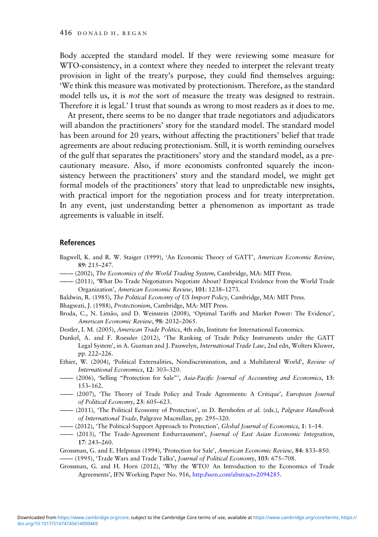<span id="page-26-0"></span>Body accepted the standard model. If they were reviewing some measure for WTO-consistency, in a context where they needed to interpret the relevant treaty provision in light of the treaty's purpose, they could find themselves arguing: 'We think this measure was motivated by protectionism. Therefore, as the standard model tells us, it is not the sort of measure the treaty was designed to restrain. Therefore it is legal.' I trust that sounds as wrong to most readers as it does to me.

At present, there seems to be no danger that trade negotiators and adjudicators will abandon the practitioners' story for the standard model. The standard model has been around for 20 years, without affecting the practitioners' belief that trade agreements are about reducing protectionism. Still, it is worth reminding ourselves of the gulf that separates the practitioners' story and the standard model, as a precautionary measure. Also, if more economists confronted squarely the inconsistency between the practitioners' story and the standard model, we might get formal models of the practitioners' story that lead to unpredictable new insights, with practical import for the negotiation process and for treaty interpretation. In any event, just understanding better a phenomenon as important as trade agreements is valuable in itself.

#### References

- Bagwell, K. and R. W. Staiger (1999), 'An Economic Theory of GATT', American Economic Review, 89: 215–247.
- (2002), The Economics of the World Trading System, Cambridge, MA: MIT Press.
- ——– (2011), 'What Do Trade Negotiators Negotiate About? Empirical Evidence from the World Trade Organization', American Economic Review, 101: 1238–1273.
- Baldwin, R. (1985), The Political Economy of US Import Policy, Cambridge, MA: MIT Press.
- Bhagwati, J. (1988), Protectionism, Cambridge, MA: MIT Press.
- Broda, C., N. Limão, and D. Weinstein (2008), 'Optimal Tariffs and Market Power: The Evidence', American Economic Review, 98: 2032–2065.
- Destler, I. M. (2005), American Trade Politics, 4th edn, Institute for International Economics.
- Dunkel, A. and F. Roessler (2012), 'The Ranking of Trade Policy Instruments under the GATT Legal System', in A. Guzman and J. Pauwelyn, International Trade Law, 2nd edn, Wolters Kluwer, pp. 222–226.
- Ethier, W. (2004), 'Political Externalities, Nondiscrimination, and a Multilateral World', Review of International Economics, 12: 303–320.
- ——– (2006), 'Selling "Protection for Sale"', Asia-Pacific Journal of Accounting and Economics, 13: 153–162.
- (2007), 'The Theory of Trade Policy and Trade Agreements: A Critique', European Journal of Political Economy, 23: 605–623.
- (2011), 'The Political Economy of Protection', in D. Bernhofen et al. (eds.), Palgrave Handbook of International Trade, Palgrave Macmillan, pp. 295–320.
- ——– (2012), 'The Political-Support Approach to Protection', Global Journal of Economics, 1: 1–14.
- ——– (2013), 'The Trade-Agreement Embarrassment', Journal of East Asian Economic Integration, 17: 243–260.
- Grossman, G. and E. Helpman (1994), 'Protection for Sale', American Economic Review, 84: 833–850. ——– (1995), 'Trade Wars and Trade Talks', Journal of Political Economy, 103: 675–708.
- Grossman, G. and H. Horn (2012), 'Why the WTO? An Introduction to the Economics of Trade Agreements', IFN Working Paper No. 916, <http://ssrn.com/abstract=2094285>.